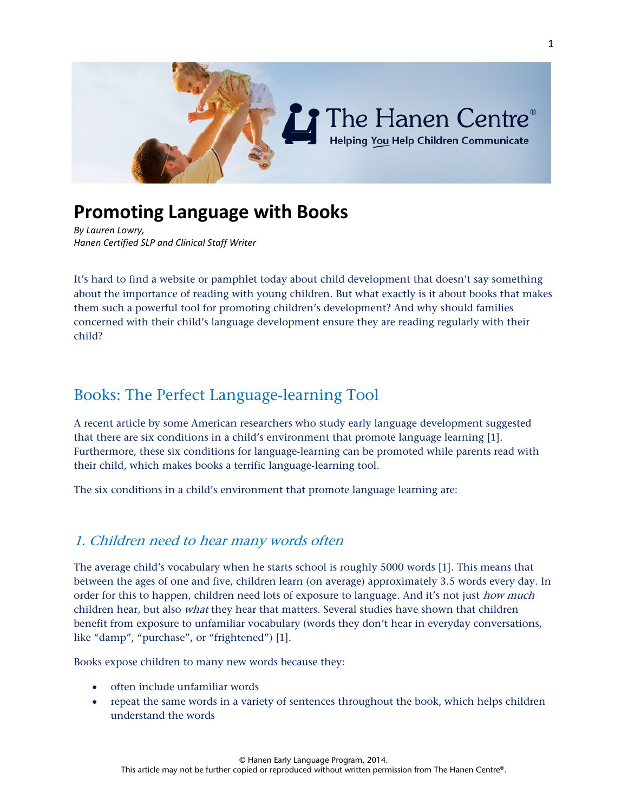

# **Promoting Language with Books**

*By Lauren Lowry, Hanen Certified SLP and Clinical Staff Writer*

It's hard to find a website or pamphlet today about child development that doesn't say something about the importance of reading with young children. But what exactly is it about books that makes them such a powerful tool for promoting children's development? And why should families concerned with their child's language development ensure they are reading regularly with their child?

# Books: The Perfect Language-learning Tool

A recent article by some American researchers who study early language development suggested that there are six conditions in a child's environment that promote language learning [1]. Furthermore, these six conditions for language-learning can be promoted while parents read with their child, which makes books a terrific language-learning tool.

The six conditions in a child's environment that promote language learning are:

### 1. Children need to hear many words often

The average child's vocabulary when he starts school is roughly 5000 words [1]. This means that between the ages of one and five, children learn (on average) approximately 3.5 words every day. In order for this to happen, children need lots of exposure to language. And it's not just *how much* children hear, but also *what* they hear that matters. Several studies have shown that children benefit from exposure to unfamiliar vocabulary (words they don't hear in everyday conversations, like "damp", "purchase", or "frightened") [1].

Books expose children to many new words because they:

- often include unfamiliar words
- repeat the same words in a variety of sentences throughout the book, which helps children understand the words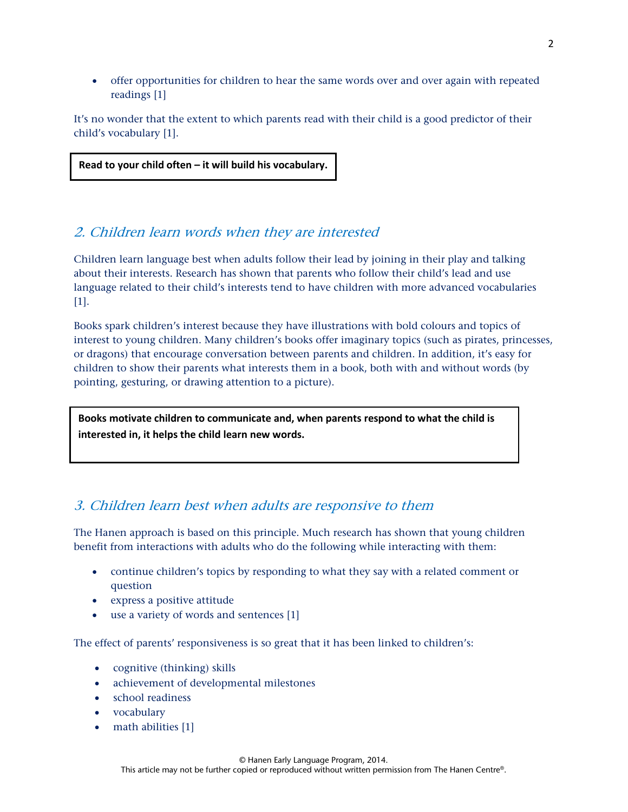• offer opportunities for children to hear the same words over and over again with repeated readings [1]

It's no wonder that the extent to which parents read with their child is a good predictor of their child's vocabulary [1].

**Read to your child often – it will build his vocabulary.**

٦

j

### 2. Children learn words when they are interested

Children learn language best when adults follow their lead by joining in their play and talking about their interests. Research has shown that parents who follow their child's lead and use language related to their child's interests tend to have children with more advanced vocabularies [1].

Books spark children's interest because they have illustrations with bold colours and topics of interest to young children. Many children's books offer imaginary topics (such as pirates, princesses, or dragons) that encourage conversation between parents and children. In addition, it's easy for children to show their parents what interests them in a book, both with and without words (by pointing, gesturing, or drawing attention to a picture).

**Books motivate children to communicate and, when parents respond to what the child is interested in, it helps the child learn new words.**

### 3. Children learn best when adults are responsive to them

The Hanen approach is based on this principle. Much research has shown that young children benefit from interactions with adults who do the following while interacting with them:

- continue children's topics by responding to what they say with a related comment or question
- express a positive attitude
- use a variety of words and sentences [1]

The effect of parents' responsiveness is so great that it has been linked to children's:

- cognitive (thinking) skills
- achievement of developmental milestones
- school readiness
- vocabulary
- math abilities [1]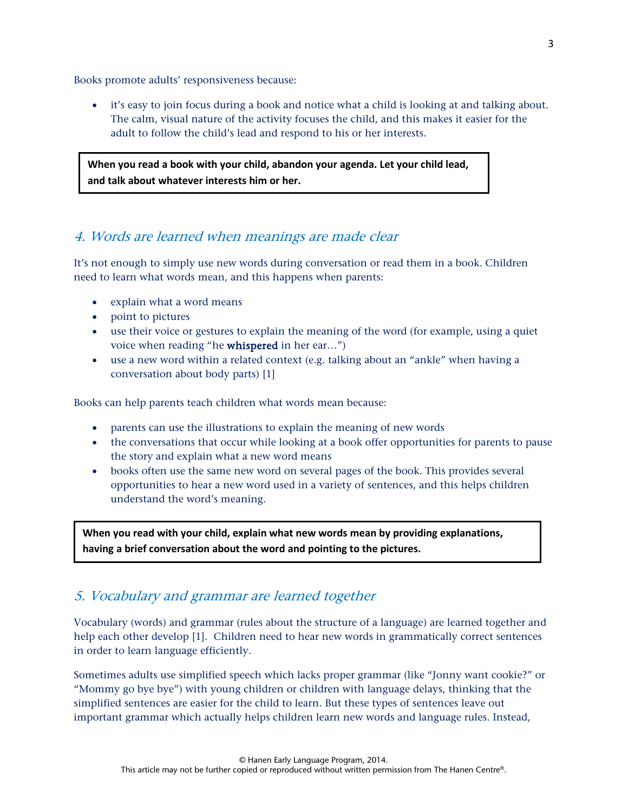Books promote adults' responsiveness because:

• it's easy to join focus during a book and notice what a child is looking at and talking about. The calm, visual nature of the activity focuses the child, and this makes it easier for the adult to follow the child's lead and respond to his or her interests.

**When you read a book with your child, abandon your agenda. Let your child lead, and talk about whatever interests him or her.** 

### 4. Words are learned when meanings are made clear

It's not enough to simply use new words during conversation or read them in a book. Children need to learn what words mean, and this happens when parents:

- explain what a word means
- point to pictures
- use their voice or gestures to explain the meaning of the word (for example, using a quiet voice when reading "he whispered in her ear…")
- use a new word within a related context (e.g. talking about an "ankle" when having a conversation about body parts) [1]

Books can help parents teach children what words mean because:

- parents can use the illustrations to explain the meaning of new words
- the conversations that occur while looking at a book offer opportunities for parents to pause the story and explain what a new word means
- books often use the same new word on several pages of the book. This provides several opportunities to hear a new word used in a variety of sentences, and this helps children understand the word's meaning.

**When you read with your child, explain what new words mean by providing explanations, having a brief conversation about the word and pointing to the pictures.**

### 5. Vocabulary and grammar are learned together

Vocabulary (words) and grammar (rules about the structure of a language) are learned together and help each other develop [1]. Children need to hear new words in grammatically correct sentences in order to learn language efficiently.

Sometimes adults use simplified speech which lacks proper grammar (like "Jonny want cookie?" or "Mommy go bye bye") with young children or children with language delays, thinking that the simplified sentences are easier for the child to learn. But these types of sentences leave out important grammar which actually helps children learn new words and language rules. Instead,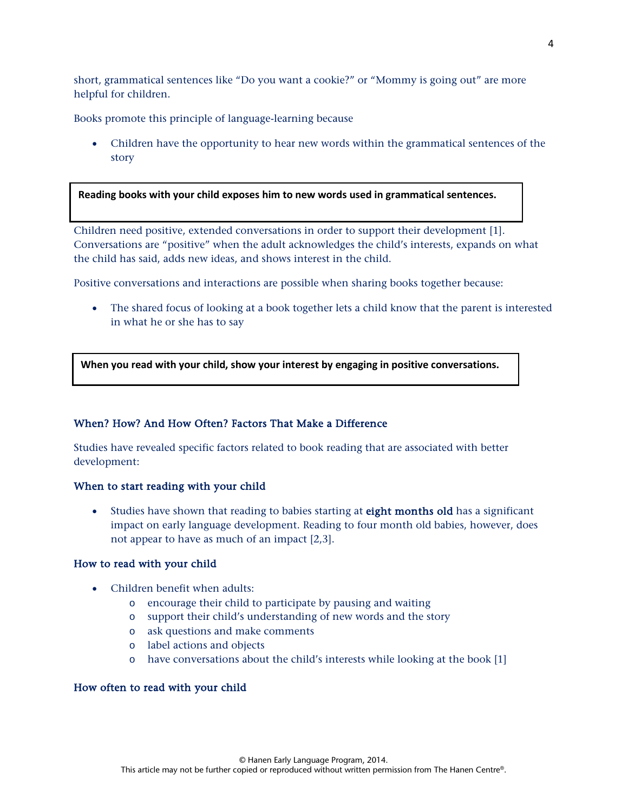short, grammatical sentences like "Do you want a cookie?" or "Mommy is going out" are more helpful for children.

Books promote this principle of language-learning because

• Children have the opportunity to hear new words within the grammatical sentences of the story

#### **Reading books with your child exposes him to new words used in grammatical sentences.**

Children need positive, extended conversations in order to support their development [1]. Conversations are "positive" when the adult acknowledges the child's interests, expands on what the child has said, adds new ideas, and shows interest in the child.

Positive conversations and interactions are possible when sharing books together because:

• The shared focus of looking at a book together lets a child know that the parent is interested in what he or she has to say

**When you read with your child, show your interest by engaging in positive conversations.** 

#### When? How? And How Often? Factors That Make a Difference

Studies have revealed specific factors related to book reading that are associated with better development:

#### When to start reading with your child

• Studies have shown that reading to babies starting at **eight months old** has a significant impact on early language development. Reading to four month old babies, however, does not appear to have as much of an impact [2,3].

#### How to read with your child

j

֬

- Children benefit when adults:
	- o encourage their child to participate by pausing and waiting
	- o support their child's understanding of new words and the story
	- o ask questions and make comments
	- o label actions and objects
	- o have conversations about the child's interests while looking at the book [1]

#### How often to read with your child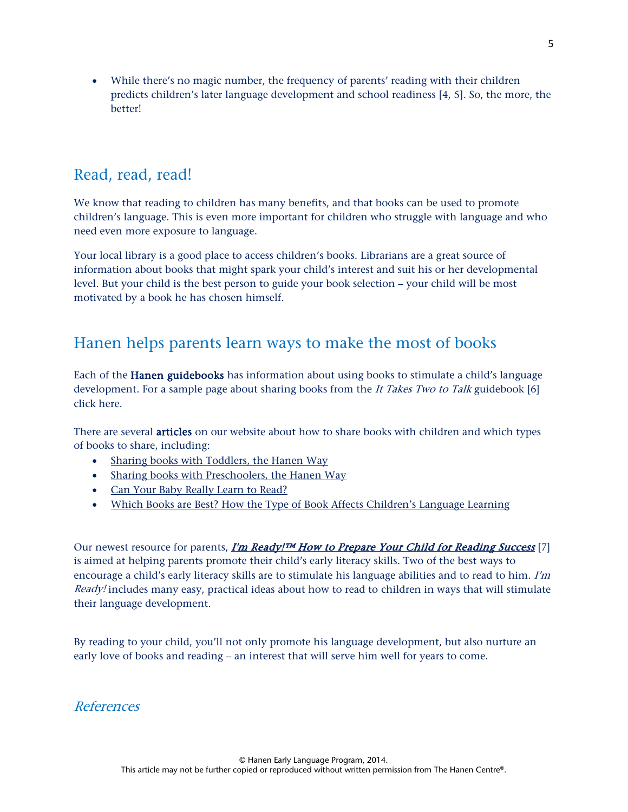• While there's no magic number, the frequency of parents' reading with their children predicts children's later language development and school readiness [4, 5]. So, the more, the better!

# Read, read, read!

We know that reading to children has many benefits, and that books can be used to promote children's language. This is even more important for children who struggle with language and who need even more exposure to language.

Your local library is a good place to access children's books. Librarians are a great source of information about books that might spark your child's interest and suit his or her developmental level. But your child is the best person to guide your book selection – your child will be most motivated by a book he has chosen himself.

# Hanen helps parents learn ways to make the most of books

Each of the Hanen guidebooks has information about using books to stimulate a child's language development. For a sample page about sharing books from the It Takes Two to Talk guidebook [6] click here.

There are several **articles** on our website about how to share books with children and which types of books to share, including:

- Sharing [books with Toddlers, the Hanen Way](http://www.hanen.org/Helpful-Info/Fun-Activities/Sharing-Books-with-Toddlers,-The-Hanen-Way.aspx)
- [Sharing books with Preschoolers, the Hanen Way](http://www.hanen.org/Helpful-Info/Fun-Activities/Sharing-books-with-Preschoolers,-the-Hanen-Way.aspx)
- [Can Your Baby Really Learn to Read?](http://www.hanen.org/Helpful-Info/Articles/Can-Your-Baby-Really-Learn-to-Read-.aspx)
- [Which Books are Best? How the Type of Book Affects Children's Language Learning](http://www.hanen.org/Helpful-Info/Articles/Which-Books-are-Best---How-the-Type-of-Book-Affect.aspx)

Our newest resource for parents,  $\underline{I'm}$  Ready!<sup>™</sup> How to Prepare Your Child for Reading Success [7] is aimed at helping parents promote their child's early literacy skills. Two of the best ways to encourage a child's early literacy skills are to stimulate his language abilities and to read to him. I'm Ready! includes many easy, practical ideas about how to read to children in ways that will stimulate their language development.

By reading to your child, you'll not only promote his language development, but also nurture an early love of books and reading – an interest that will serve him well for years to come.

References